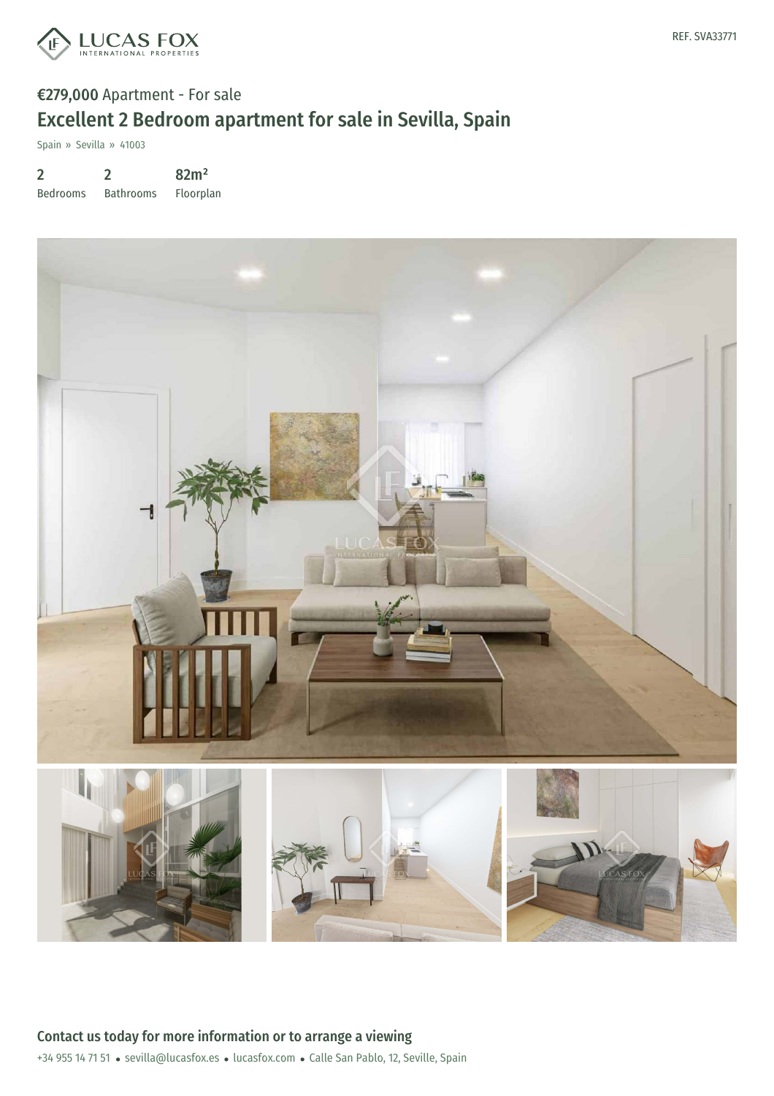

# €279,000 Apartment - For sale Excellent 2 Bedroom apartment for sale in Sevilla, Spain

Spain » Sevilla » 41003

2 Bedrooms 2 Bathrooms 82m² Floorplan

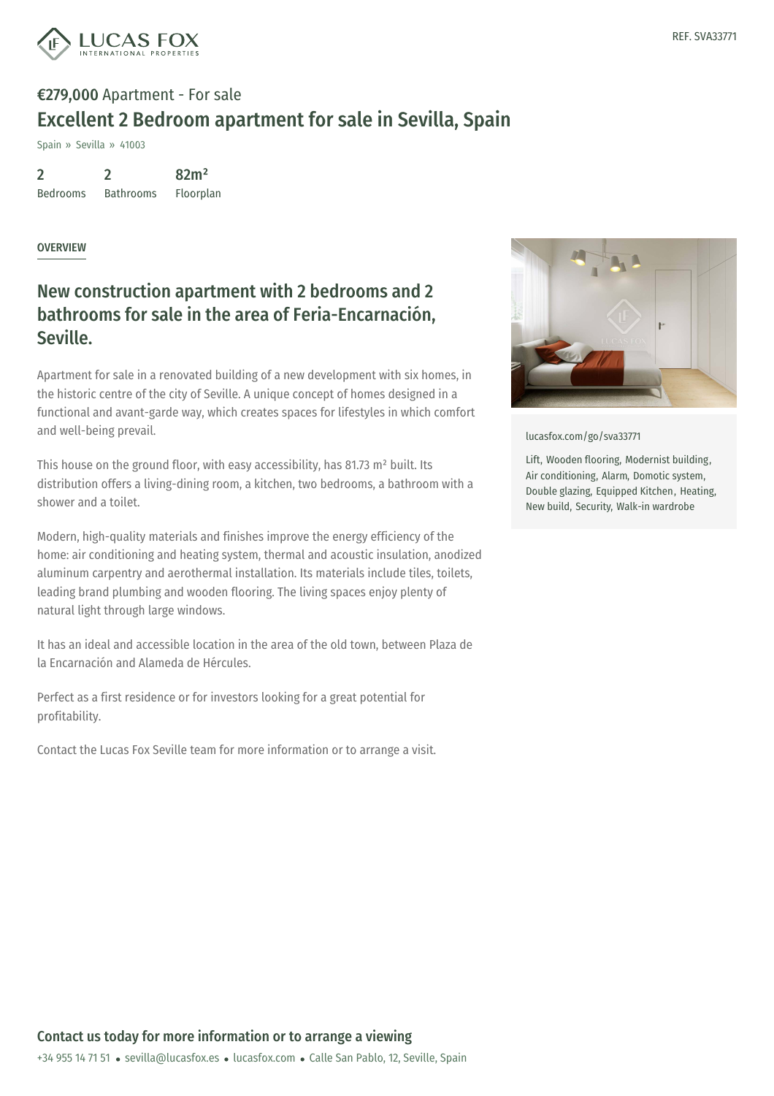

# €279,000 Apartment - For sale Excellent 2 Bedroom apartment for sale in Sevilla, Spain

Spain » Sevilla » 41003

2 Bedrooms 2 Bathrooms 82m² Floorplan

#### OVERVIEW

### New construction apartment with 2 bedrooms and 2 bathrooms for sale in the area of Feria-Encarnación, Seville.

Apartment for sale in a renovated building of a new development with six homes, in the historic centre of the city of Seville. A unique concept of homes designed in a functional and avant-garde way, which creates spaces for lifestyles in which comfort and well-being prevail.

This house on the ground floor, with easy accessibility, has 81.73 m<sup>2</sup> built. Its distribution offers a living-dining room, a kitchen, two bedrooms, a bathroom with a shower and a toilet.

Modern, high-quality materials and finishes improve the energy efficiency of the home: air conditioning and heating system, thermal and acoustic insulation, anodized aluminum carpentry and aerothermal installation. Its materials include tiles, toilets, leading brand plumbing and wooden flooring. The living spaces enjoy plenty of natural light through large windows.

It has an ideal and accessible location in the area of the old town, between Plaza de la Encarnación and Alameda de Hércules.

Perfect as a first residence or for investors looking for a great potential for profitability.

Contact the Lucas Fox Seville team for more information or to arrange a visit.



[lucasfox.com/go/sva33771](https://www.lucasfox.com/go/sva33771)

Lift, Wooden flooring, Modernist building, Air conditioning, Alarm, Domotic system, Double glazing, Equipped Kitchen, Heating, New build, Security, Walk-in wardrobe